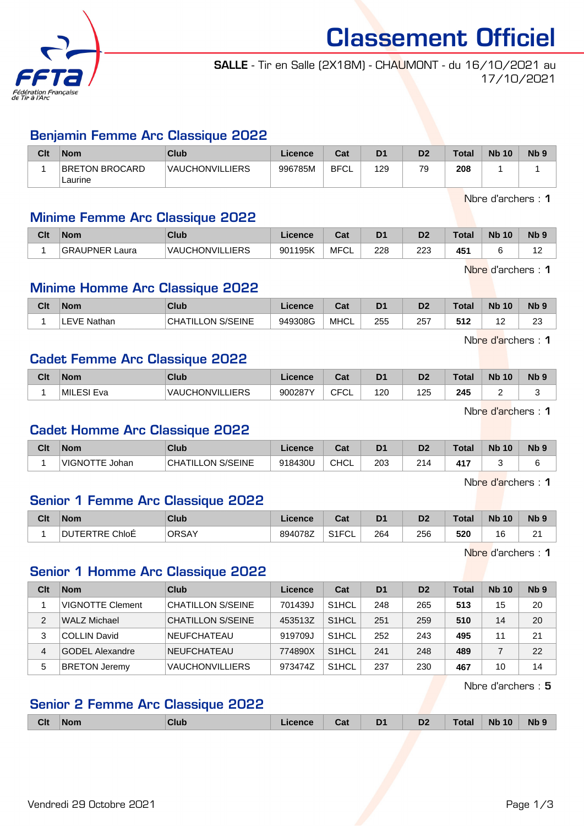

Classement Officiel

# SALLE - Tir en Salle (2X18M) - CHAUMONT - du 16/10/2021 au 17/10/2021

### Benjamin Femme Arc Classique 2022

| Clt | <b>Nom</b>                | Club            | Licence | Cat         | D <sub>1</sub> | D <sub>2</sub> | Total | <b>Nb 10</b> | N <sub>b</sub> <sub>9</sub> |
|-----|---------------------------|-----------------|---------|-------------|----------------|----------------|-------|--------------|-----------------------------|
|     | BRETON BROCARD<br>Laurine | VAUCHONVILLIERS | 996785M | <b>BFCL</b> | 129            | 79             | 208   |              |                             |

Nbre d'archers : 1

#### Minime Femme Arc Classique 2022

| Clt | <b>Nom</b>               | <b>Club</b>                 | Licence | ∩~∙<br>⊍aι | D <sub>1</sub> | D2         | <b>Total</b>    | <b>Nb</b><br>10 | N <sub>b</sub> <sub>9</sub> |
|-----|--------------------------|-----------------------------|---------|------------|----------------|------------|-----------------|-----------------|-----------------------------|
|     | <b>GRAUPNER</b><br>∟aura | <b>VAUCHONVILL</b><br>LIERS | 901195K | MFCL       | 228            | מממ<br>220 | 45 <sup>′</sup> |                 | $\overline{a}$              |

Nbre d'archers : 1

### Minime Homme Arc Classique 2022

| Clt | <b>Nom</b>   | <b>Club</b>               | <b>Licence</b> | ◠∼<br>ual   | D <sub>1</sub> | D <sub>2</sub> | <b>Total</b> | <b>Nb</b><br>10 | N <sub>b</sub> <sub>9</sub> |
|-----|--------------|---------------------------|----------------|-------------|----------------|----------------|--------------|-----------------|-----------------------------|
|     | Nathan<br>ᄂᄂ | S/SEINE<br>CHA<br>TILLON. | 949308G        | <b>MHCL</b> | 255            | 257            | 512          | . .             | າາ<br>20                    |

Nbre d'archers : 1

#### Cadet Femme Arc Classique 2022

| Clt | <b>Nom</b> | Club                   | Licence | $\sim$<br>⊍⊌       | D <sub>1</sub> | D <sub>2</sub> | Total <sub>z</sub> | <b>Nb</b><br>10 | N <sub>b</sub> <sub>9</sub> |
|-----|------------|------------------------|---------|--------------------|----------------|----------------|--------------------|-----------------|-----------------------------|
|     | MILESI Eva | <b>VAUCHONVILLIERS</b> | 900287Y | $\cap$<br>ັບ∟<br>◡ | 120            | 125            | 245                | -               |                             |

Nbre d'archers : 1

### Cadet Homme Arc Classique 2022

| Clt | <b>Nom</b>                   | Club                            | Licence | Cot.<br>⊍⊿  | D <sub>1</sub> | D <sub>2</sub>    | ™otal         | <b>N<sub>b</sub></b><br>10 | N <sub>b</sub> <sub>9</sub> |
|-----|------------------------------|---------------------------------|---------|-------------|----------------|-------------------|---------------|----------------------------|-----------------------------|
|     | <b>VIGNO</b><br>ℸℸ⊏<br>Johan | S/SEINE<br><b>CHA</b><br>TILLON | 918430し | <b>CHCL</b> | 203            | 214<br><u> 21</u> | $A1^-$<br>. . |                            | -                           |

Nbre d'archers : 1

# Senior 1 Femme Arc Classique 2022

| Clt | <b>Nom</b>                    | <b>Club</b>  | Licence | <b>Take</b><br>⊍d      | D <sub>1</sub> | D <sub>o</sub><br>υ, | Total | <b>Nb</b><br>10 | N <sub>b</sub> <sub>9</sub> |
|-----|-------------------------------|--------------|---------|------------------------|----------------|----------------------|-------|-----------------|-----------------------------|
|     | ChloE<br>DU<br>RTRE U.<br>FR. | <b>ORSAY</b> | 894078Z | $O(10^{-10}C)$<br>◡⊩◡∟ | 264            | 256                  | 520   | ີ               | c.<br><u>_</u>              |

Nbre d'archers : 1

### Senior 1 Homme Arc Classique 2022

| Clt | <b>Nom</b>              | Club                     | Licence | Cat                | D <sub>1</sub> | D <sub>2</sub> | Total | <b>Nb 10</b> | Nb <sub>9</sub> |
|-----|-------------------------|--------------------------|---------|--------------------|----------------|----------------|-------|--------------|-----------------|
|     | <b>VIGNOTTE Clement</b> | <b>CHATILLON S/SEINE</b> | 701439J | S <sub>1</sub> HCL | 248            | 265            | 513   | 15           | 20              |
| 2   | WALZ Michael            | <b>CHATILLON S/SEINE</b> | 453513Z | S <sub>1</sub> HCL | 251            | 259            | 510   | 14           | 20              |
| 3   | <b>COLLIN David</b>     | NEUFCHATEAU              | 919709J | S <sub>1</sub> HCL | 252            | 243            | 495   | 11           | 21              |
| 4   | <b>GODEL Alexandre</b>  | NEUFCHATEAU              | 774890X | S <sub>1</sub> HCL | 241            | 248            | 489   |              | 22              |
| 5   | <b>BRETON Jeremy</b>    | <b>VAUCHONVILLIERS</b>   | 973474Z | S <sub>1</sub> HCL | 237            | 230            | 467   | 10           | 14              |

Nbre d'archers : 5

## Senior 2 Femme Arc Classique 2022

| <b>Clt</b> | <b>Nom</b> | Club | icence | ual | D <sub>1</sub> | D <sub>2</sub> | otal` | <b>Nb</b><br>10 | Nb <sub>s</sub> |
|------------|------------|------|--------|-----|----------------|----------------|-------|-----------------|-----------------|
|            |            |      |        |     |                |                |       |                 |                 |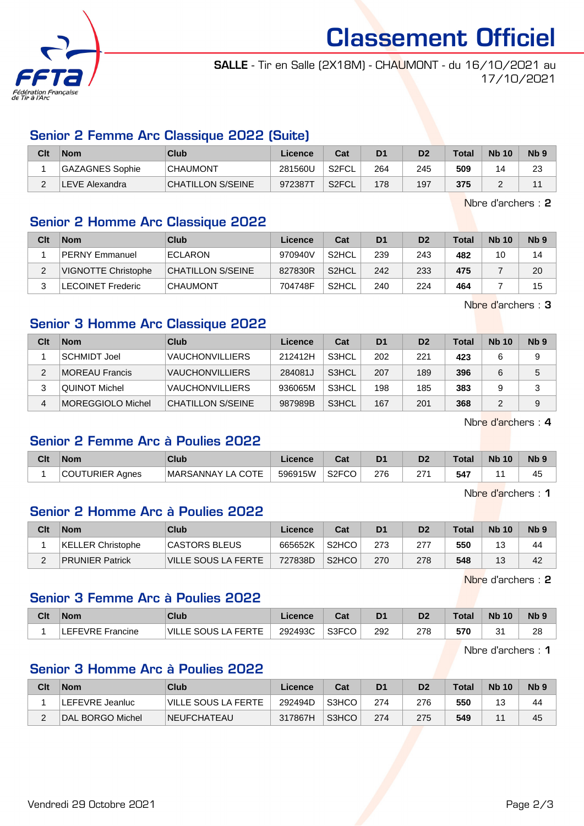

Classement Officiel

SALLE - Tir en Salle (2X18M) - CHAUMONT - du 16/10/2021 au 17/10/2021

## Senior 2 Femme Arc Classique 2022 (Suite)

| Clt | <b>Nom</b>      | Club                     | Licence | Cat   | D <sub>1</sub> | D <sub>2</sub> | <b>Total</b> | <b>Nb 10</b> | N <sub>b</sub> <sub>9</sub> |
|-----|-----------------|--------------------------|---------|-------|----------------|----------------|--------------|--------------|-----------------------------|
|     | GAZAGNES Sophie | <b>CHAUMONT</b>          | 281560U | S2FCL | 264            | 245            | 509          |              | 23                          |
|     | LEVE Alexandra  | <b>CHATILLON S/SEINE</b> | 972387  | S2FCL | 178            | 197            | 375          |              |                             |

Nbre d'archers : 2

#### Senior 2 Homme Arc Classique 2022

| Clt | <b>Nom</b>                 | Club              | Licence | Cat                | D <sub>1</sub> | D <sub>2</sub> | Total | <b>Nb 10</b> | N <sub>b</sub> <sub>9</sub> |
|-----|----------------------------|-------------------|---------|--------------------|----------------|----------------|-------|--------------|-----------------------------|
|     | <b>PERNY Emmanuel</b>      | ECLARON           | 970940V | S <sub>2</sub> HCL | 239            | 243            | 482   | 10           | 14                          |
|     | <b>VIGNOTTE Christophe</b> | CHATILLON S/SEINE | 827830R | S <sub>2</sub> HCL | 242            | 233            | 475   |              | 20                          |
| ົ   | LECOINET Frederic          | <b>CHAUMONT</b>   | 704748F | S <sub>2</sub> HCL | 240            | 224            | 464   |              | 15                          |

Nbre d'archers : 3

### Senior 3 Homme Arc Classique 2022

| Clt | <b>Nom</b>            | Club                   | Licence | Cat                | D <sub>1</sub> | D <sub>2</sub> | <b>Total</b> | <b>Nb 10</b> | Nb <sub>9</sub> |
|-----|-----------------------|------------------------|---------|--------------------|----------------|----------------|--------------|--------------|-----------------|
|     | SCHMIDT Joel          | <b>VAUCHONVILLIERS</b> | 212412H | S3HCL              | 202            | 221            | 423          | 6            | 9               |
|     | <b>MOREAU Francis</b> | <b>VAUCHONVILLIERS</b> | 284081J | S <sub>3</sub> HCL | 207            | 189            | 396          | 6            | 5               |
|     | QUINOT Michel         | <b>VAUCHONVILLIERS</b> | 936065M | S3HCL              | 198            | 185            | 383          | 9            | 3               |
|     | MOREGGIOLO Michel     | CHATILLON S/SEINE      | 987989B | S3HCL              | 167            | 201            | 368          | 2            | 9               |

Nbre d'archers : 4

## Senior 2 Femme Arc à Poulies 2022

| Clt | <b>Nom</b>      | <b>Club</b>       | Licence | ∩~∙<br>⊍aι         | D <sub>1</sub> | D <sub>2</sub> | Total | <b>Nb 10</b> | N <sub>b</sub> <sub>9</sub> |
|-----|-----------------|-------------------|---------|--------------------|----------------|----------------|-------|--------------|-----------------------------|
|     | COUTURIER Agnes | MARSANNAY LA COTE | 596915W | S <sub>2</sub> FCO | 276            | 274<br>ا ہے    | 547   |              | 45                          |

Nbre d'archers : 1

## Senior 2 Homme Arc à Poulies 2022

| Clt | <b>Nom</b>             | Club                | Licence | Cat                | D <sub>1</sub> |     | Total | <b>Nb 10</b> | N <sub>b</sub> <sub>9</sub> |
|-----|------------------------|---------------------|---------|--------------------|----------------|-----|-------|--------------|-----------------------------|
|     | KELLER Christophe      | CASTORS BLEUS       | 665652K | S <sub>2</sub> HCO | 273            |     | 550   | 19<br>◡      | 44                          |
| -   | <b>PRUNIER Patrick</b> | VILLE SOUS LA FERTE | 727838D | S <sub>2</sub> HCO | 270            | 278 | 548   | $\Lambda$    | 42                          |

Nbre d'archers : 2

# Senior 3 Femme Arc à Poulies 2022

| Clt | <b>Nom</b>       | Club                | $\mathcal{L}$ icence | $R_{\rm{eff}}$<br>⊍ou | D <sub>1</sub> | D <sub>2</sub> | $\tau$ otal | <b>N<sub>b</sub></b><br>10 | N <sub>b</sub> <sub>9</sub> |
|-----|------------------|---------------------|----------------------|-----------------------|----------------|----------------|-------------|----------------------------|-----------------------------|
|     | EFEVRE Francine. | VILLE SOUS LA FERTE | 292493C              | S3FCO                 | 292            | 278            | 570         | Λ.<br>ັ                    | 28                          |

Nbre d'archers : 1

#### Senior 3 Homme Arc à Poulies 2022

| Clt | <b>Nom</b>              | Club                 | Licence | Cat   | D <sub>1</sub> | D2  | Total | <b>Nb 10</b> | Nb <sub>9</sub> |
|-----|-------------------------|----------------------|---------|-------|----------------|-----|-------|--------------|-----------------|
|     | _EFEVRE Jeanluc         | IVILLE SOUS LA FERTE | 292494D | S3HCO | 274            | 276 | 550   |              | 44              |
|     | <b>DAL BORGO Michel</b> | <b>NEUFCHATEAU</b>   | 317867H | S3HCO | 274            | 275 | 549   |              | 45              |